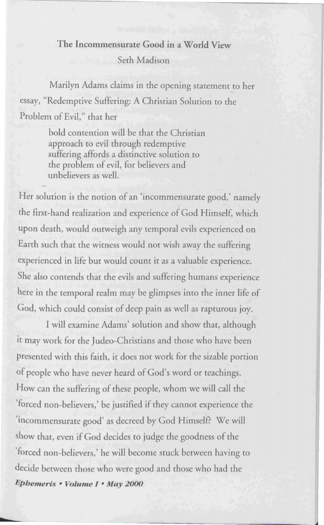## **The Incommensurate Good in a World View**  Seth Madison

Marilyn Adams claims in the opening statement to her essay, "Redemptive Suffering: A Christian Solution to the Problem of Evil," that her

> bold contention will be that the Christian approach to evil through redemptive suffering affords a distinctive solution to the problem of evil, for believers and unbelievers as well.

Her solution is the notion of an 'incommensurate good,' namely the first-hand realization and experience of God Himself, which upon death, would outweigh any temporal evils experienced on Earth such that the witness would not wish away the suffering experienced in life but would count it as a valuable experience. She also contends that the evils and suffering humans experience here in the temporal realm may be glimpses into the inner life of God, which could consist of deep pain as well as rapturous joy.

I will examine Adams' solution and show that, although it may work for the Judeo-Christians and those who have been presented with this faith, it does not work for the sizable portion of people who have never heard of God's word or teachings. How can the suffering of these people, whom we will call the 'forced non-believers,' be justified if they cannot experience the 'incommensurate good' as decreed by God Himself? We will show that, even if God decides to judge the goodness of the 'forced non-believers,' he will become stuck between having to decide between those who were good and those who had the *Ephemeris* • *Volume I* • **May** *2000*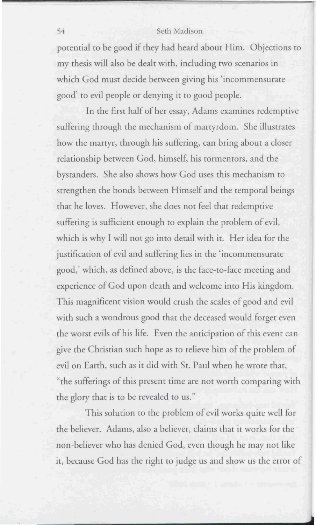## 54 Seth Madison

potential to be good if they had heard about Him. Objections to my thesis will also be dealt with, including two scenarios in which God must decide between giving his 'incommensurate good' to evil people or denying it to good people.

In the first half of her essay, Adams examines redemptive suffering through the mechanism of martyrdom. She illustrates how the martyr, through his suffering, can bring about a closer relationship between God, himself, his tormentors, and the bystanders. She also shows how God uses this mechanism to strengthen the bonds between Himself and the temporal beings that he loves. However, she does not feel that redemptive suffering is sufficient enough to explain the problem of evil, which is why I will not go into detail with it. Her idea for the justification of evil and suffering lies in the 'incommensurate good,' which, as defined above, is the face-to-face meeting and experience of God upon death and welcome into His kingdom. This magnificent vision would crush the scales of good and evil with such a wondrous good that the deceased would forget even the worst evils of his life. Even the anticipation of this event can give the Christian such hope as to relieve him of the problem of evil on Earth, such as it did with St. Paul when he wrote that, "the sufferings of this present time are not worth comparing with the glory that is to be revealed to us."

This solution to the problem of evil works quite well for the believer. Adams, also a believer, claims that it works for the non-believer who has denied God, even though he may not like it, because God has the right to judge us and show us the error of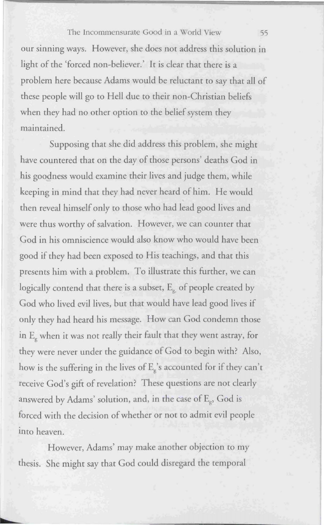## The Incommensurate Good in a World View 55

our sinning ways. However, she does not address this solution in light of the 'forced non-believer.' It is clear that there is a problem here because Adams would be reluctant to say that all of these people will go to Hell due to their non-Christian beliefs when they had no other option to the belief system they main rained.

Supposing that she did address this problem, she might have countered that on the day of those persons' deaths God in his goodness would examine their lives and judge them, while keeping in mind that they had never heard of him. He would then reveal himself only to those who had lead good lives and were thus worthy of salvation. However, we can counter that God in his omniscience would also know who would have been good if they had been exposed to His teachings, and that this presents him with a problem. To illustrate this further, we can logically contend that there is a subset,  $E_{g}$  of people created by God who lived evil lives, but that would have lead good lives if only they had heard his message. How can God condemn those in E<sub>p</sub> when it was not really their fault that they went astray, for they were never under the guidance of God to begin with? Also, how is the suffering in the lives of  $E_g$ 's accounted for if they can't receive God's gift of revelation? These questions are not clearly answered by Adams' solution, and, in the case of  $E_e$ , God is forced with the decision of whether or not to admit evil people into heaven.

However, Adams' may make another objection to my thesis. She might say that God could disregard the temporal

►